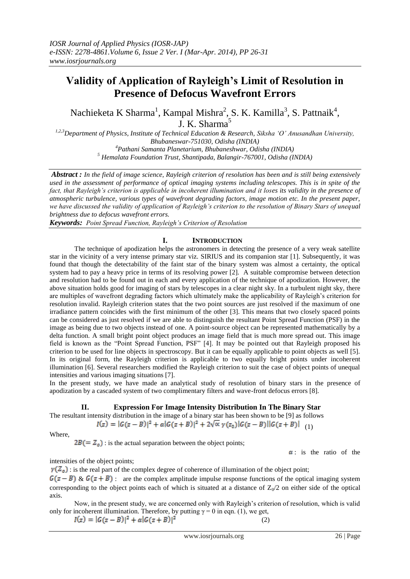# **Validity of Application of Rayleigh's Limit of Resolution in Presence of Defocus Wavefront Errors**

Nachieketa K Sharma<sup>1</sup>, Kampal Mishra<sup>2</sup>, S. K. Kamilla<sup>3</sup>, S. Pattnaik<sup>4</sup>, J. K. Sharma<sup>5</sup>

*1,2,3Department of Physics, Institute of Technical Education & Research, Siksha 'O' Anusandhan University, Bhubaneswar-751030, Odisha (INDIA) <sup>4</sup>Pathani Samanta Planetarium, Bhubaneshwar, Odisha (INDIA) <sup>5</sup> Hemalata Foundation Trust, Shantipada, Balangir-767001, Odisha (INDIA)*

*Abstract : In the field of image science, Rayleigh criterion of resolution has been and is still being extensively used in the assessment of performance of optical imaging systems including telescopes. This is in spite of the fact, that Rayleigh's criterion is applicable in incoherent illumination and it loses its validity in the presence of atmospheric turbulence, various types of wavefront degrading factors, image motion etc. In the present paper, we have discussed the validity of application of Rayleigh's criterion to the resolution of Binary Stars of unequal brightness due to defocus wavefront errors.*

*Keywords: Point Spread Function, Rayleigh's Criterion of Resolution* 

## **I. INTRODUCTION**

The technique of apodization helps the astronomers in detecting the presence of a very weak satellite star in the vicinity of a very intense primary star viz. SIRIUS and its companion star [1]. Subsequently, it was found that though the detectability of the faint star of the binary system was almost a certainty, the optical system had to pay a heavy price in terms of its resolving power [2]. A suitable compromise between detection and resolution had to be found out in each and every application of the technique of apodization. However, the above situation holds good for imaging of stars by telescopes in a clear night sky. In a turbulent night sky, there are multiples of wavefront degrading factors which ultimately make the applicability of Rayleigh's criterion for resolution invalid. Rayleigh criterion states that the two point sources are just resolved if the maximum of one irradiance pattern coincides with the first minimum of the other [3]. This means that two closely spaced points can be considered as just resolved if we are able to distinguish the resultant Point Spread Function (PSF) in the image as being due to two objects instead of one. A point-source object can be represented mathematically by a delta function. A small bright point object produces an image field that is much more spread out. This image field is known as the "Point Spread Function, PSF" [4]. It may be pointed out that Rayleigh proposed his criterion to be used for line objects in spectroscopy. But it can be equally applicable to point objects as well [5]. In its original form, the Rayleigh criterion is applicable to two equally bright points under incoherent illumination [6]. Several researchers modified the Rayleigh criterion to suit the case of object points of unequal intensities and various imaging situations [7].

In the present study, we have made an analytical study of resolution of binary stars in the presence of apodization by a cascaded system of two complimentary filters and wave-front defocus errors [8].

## **II. Expression For Image Intensity Distribution In The Binary Star**

The resultant intensity distribution in the image of a binary star has been shown to be [9] as follows  $I(z) = |G(z - B)|^2 + \alpha |G(z + B)|^2 + 2\sqrt{\alpha} \gamma(z_0) |G(z - B)||G(z + B)|$  (1)

Where,

 $2B(= Z_0)$ : is the actual separation between the object points;

 $\alpha$ : is the ratio of the

intensities of the object points;

 $\gamma(\mathcal{Z}_{o})$ : is the real part of the complex degree of coherence of illumination of the object point;

 $G(z - B)$  &  $G(z + B)$ : are the complex amplitude impulse response functions of the optical imaging system corresponding to the object points each of which is situated at a distance of  $Z_0/2$  on either side of the optical axis.

Now, in the present study, we are concerned only with Rayleigh"s criterion of resolution, which is valid only for incoherent illumination. Therefore, by putting  $\gamma = 0$  in eqn. (1), we get,

 $I(z) = |G(z - B)|^2 + \alpha |G(z + B)|^2$ 

(2)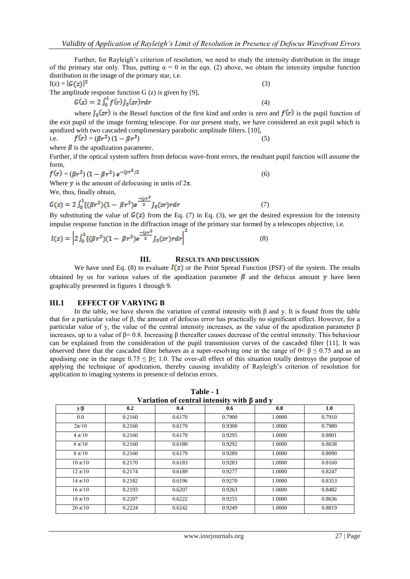Further, for Rayleigh's criterion of resolution, we need to study the intensity distribution in the image of the primary star only. Thus, putting  $\alpha = 0$  in the eqn. (2) above, we obtain the intensity impulse function distribution in the image of the primary star, i.e.

$$
I(z) = |G(z)|^2 \tag{3}
$$

The amplitude response function  $G(z)$  is given by [9],

$$
G(z) = 2 \int_0^1 f(r) J_0(zr) r dr
$$

where  $\int_0$   $(zr)$  is the Bessel function of the first kind and order is zero and  $f(r)$  is the pupil function of the exit pupil of the image forming telescope. For our present study, we have considered an exit pupil which is apodized with two cascaded complimentary parabolic amplitude filters. [10],

(4)

i.e. 
$$
f(r) = (\beta r^2) (1 - \beta r^2)
$$
 (5)

where  $\beta$  is the apodization parameter.

Further, if the optical system suffers from defocus wave-front errors, the resultant pupil function will assume the form,

$$
f(r) = (\beta r^2) (1 - \beta r^2) e^{-iyr^2/2}
$$
 (6)

Where y is the amount of defocusing in units of  $2\pi$ .

We, thus, finally obtain,

$$
G(z) = 2 \int_0^1 \{ (\beta r^2)(1 - \beta r^2) e^{\frac{-i y r^2}{2}} J_0(zr) r dr \tag{7}
$$

By substituting the value of  $G(z)$  from the Eq. (7) in Eq. (3), we get the desired expression for the intensity impulse response function in the diffraction image of the primary star formed by a telescopes objective, i.e.

$$
I(z) = \left| 2 \int_0^1 \{ (\beta r^2)(1 - \beta r^2) e^{\frac{-iyr^2}{2}} J_0(zr) r dr \right|^2 \tag{8}
$$

## **III. RESULTS AND DISCUSSION**

We have used Eq. (8) to evaluate  $I(z)$  or the Point Spread Function (PSF) of the system. The results obtained by us for various values of the apodization parameter  $\beta$  and the defocus amount y have been graphically presented in figures 1 through 9.

## **III.1 EFFECT OF VARYING Β**

In the table, we have shown the variation of central intensity with β and y. It is found from the table that for a particular value of β, the amount of defocus error has practically no significant effect. However, for a particular value of y, the value of the central intensity increases, as the value of the apodization parameter β increases, up to a value of β= 0.8. Increasing β thereafter causes decrease of the central intensity. This behaviour can be explained from the consideration of the pupil transmission curves of the cascaded filter [11]. It was observed there that the cascaded filter behaves as a super-resolving one in the range of  $0 < \beta \le 0.75$  and as an apodising one in the range  $0.75 \le \beta \le 1.0$ . The over-all effect of this situation totally destroys the purpose of applying the technique of apodization, thereby causing invalidity of Rayleigh's criterion of resolution for application to imaging systems in presence of defocus errors.

| <u>variation of central intensity with p and y</u> |        |        |         |        |        |
|----------------------------------------------------|--------|--------|---------|--------|--------|
| $y/\beta$                                          | 0.2    | 0.4    | $0.6\,$ | 0.8    | 1.0    |
| $0.0\,$                                            | 0.2160 | 0.6170 | 0.7900  | 1.0000 | 0.7910 |
| $2\pi/10$                                          | 0.2160 | 0.6170 | 0.9300  | 1.0000 | 0.7980 |
| $4 \pi/10$                                         | 0.2160 | 0.6170 | 0.9295  | 1.0000 | 0.8001 |
| $6 \pi/10$                                         | 0.2160 | 0.6180 | 0.9292  | 1.0000 | 0.8038 |
| $8 \pi/10$                                         | 0.2160 | 0.6179 | 0.9289  | 1.0000 | 0.8090 |
| $10 \pi/10$                                        | 0.2170 | 0.6183 | 0.9283  | 1.0000 | 0.8160 |
| $12 \pi/10$                                        | 0.2174 | 0.6189 | 0.9277  | 1.0000 | 0.8247 |
| $14 \pi/10$                                        | 0.2182 | 0.6196 | 0.9270  | 1.0000 | 0.8353 |
| $16 \pi/10$                                        | 0.2193 | 0.6207 | 0.9263  | 1.0000 | 0.8482 |
| $18 \pi / 10$                                      | 0.2207 | 0.6222 | 0.9255  | 1.0000 | 0.8636 |
| $20 \pi/10$                                        | 0.2224 | 0.6242 | 0.9249  | 1.0000 | 0.8819 |

**Table - 1 Variation of central intensity with β and y**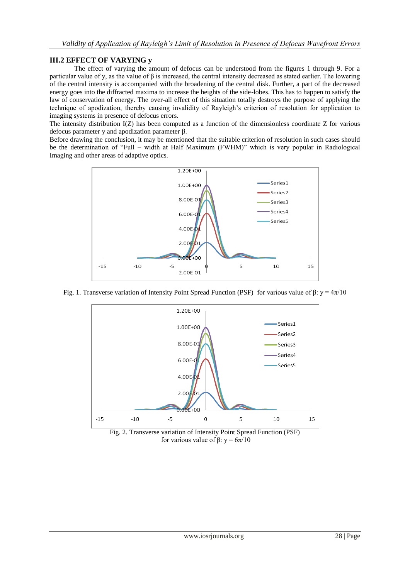## **III.2 EFFECT OF VARYING y**

The effect of varying the amount of defocus can be understood from the figures 1 through 9. For a particular value of y, as the value of β is increased, the central intensity decreased as stated earlier. The lowering of the central intensity is accompanied with the broadening of the central disk. Further, a part of the decreased energy goes into the diffracted maxima to increase the heights of the side-lobes. This has to happen to satisfy the law of conservation of energy. The over-all effect of this situation totally destroys the purpose of applying the technique of apodization, thereby causing invalidity of Rayleigh"s criterion of resolution for application to imaging systems in presence of defocus errors.

The intensity distribution I(Z) has been computed as a function of the dimensionless coordinate Z for various defocus parameter y and apodization parameter β.

Before drawing the conclusion, it may be mentioned that the suitable criterion of resolution in such cases should be the determination of "Full – width at Half Maximum (FWHM)" which is very popular in Radiological Imaging and other areas of adaptive optics.



Fig. 1. Transverse variation of Intensity Point Spread Function (PSF) for various value of β:  $y = 4π/10$ 



Fig. 2. Transverse variation of Intensity Point Spread Function (PSF) for various value of β: y = 6π/10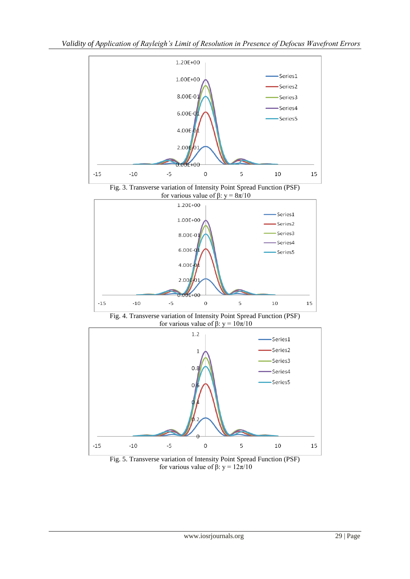

Fig. 3. Transverse variation of Intensity Point Spread Function (PSF) for various value of β: y = 8π/10



Fig. 4. Transverse variation of Intensity Point Spread Function (PSF) for various value of β: y = 10π/10



Fig. 5. Transverse variation of Intensity Point Spread Function (PSF) for various value of β: y = 12π/10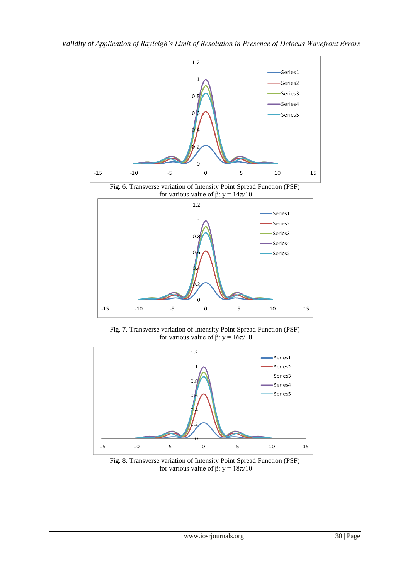

Fig. 6. Transverse variation of Intensity Point Spread Function (PSF) for various value of β: y = 14π/10



Fig. 7. Transverse variation of Intensity Point Spread Function (PSF) for various value of β: y = 16π/10



Fig. 8. Transverse variation of Intensity Point Spread Function (PSF) for various value of β: y = 18π/10